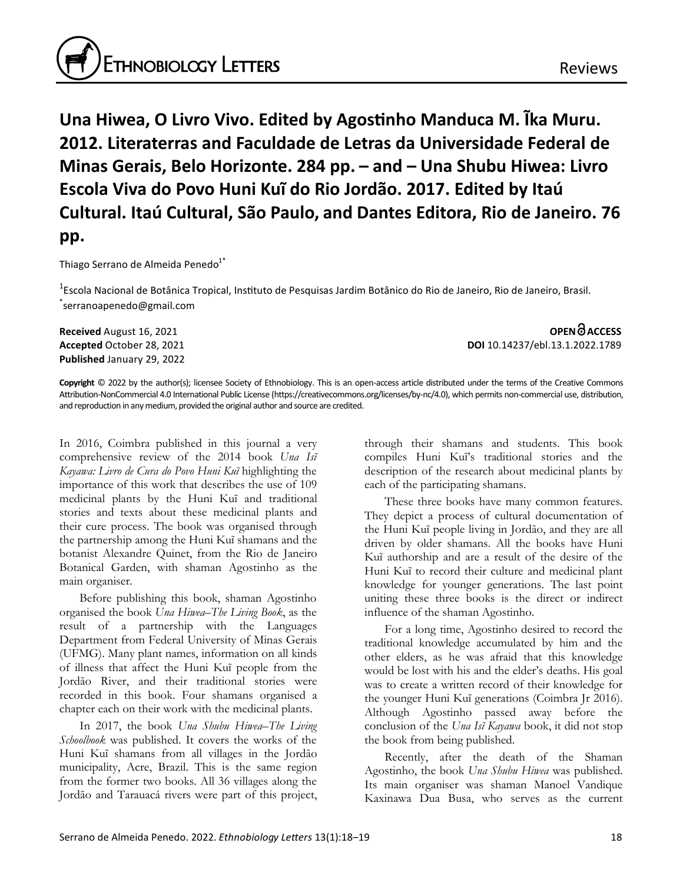

**Una Hiwea, O Livro Vivo. Edited by Agostinho Manduca M. Ĩka Muru. 2012. Literaterras and Faculdade de Letras da Universidade Federal de Minas Gerais, Belo Horizonte. 284 pp. – and – Una Shubu Hiwea: Livro Escola Viva do Povo Huni Kuĩ do Rio Jordão. 2017. Edited by Itaú Cultural. Itaú Cultural, São Paulo, and Dantes Editora, Rio de Janeiro. 76 pp.**

Thiago Serrano de Almeida Penedo<sup>1\*</sup>

<sup>1</sup>Escola Nacional de Botânica Tropical, Instituto de Pesquisas Jardim Botânico do Rio de Janeiro, Rio de Janeiro, Brasil. \* serranoapenedo@gmail.com

**Published** January 29, 2022

**Received** August 16, 2021 **OPEN ACCESS Accepted** October 28, 2021 **DOI** 10.14237/ebl.13.1.2022.1789

**Copyright** © 2022 by the author(s); licensee Society of Ethnobiology. This is an open-access article distributed under the terms of the Creative Commons Attribution-NonCommercial 4.0 International Public License (https://creativecommons.org/licenses/by-nc/4.0), which permits non-commercial use, distribution, and reproduction in any medium, provided the original author and source are credited.

In 2016, Coimbra published in this journal a very comprehensive review of the 2014 book *Una Isĩ Kayawa: Livro de Cura do Povo Huni Kuĩ* highlighting the importance of this work that describes the use of 109 medicinal plants by the Huni Kuĩ and traditional stories and texts about these medicinal plants and their cure process. The book was organised through the partnership among the Huni Kuĩ shamans and the botanist Alexandre Quinet, from the Rio de Janeiro Botanical Garden, with shaman Agostinho as the main organiser.

Before publishing this book, shaman Agostinho organised the book *Una Hiwea–The Living Book*, as the result of a partnership with the Languages Department from Federal University of Minas Gerais (UFMG). Many plant names, information on all kinds of illness that affect the Huni Kuĩ people from the Jordão River, and their traditional stories were recorded in this book. Four shamans organised a chapter each on their work with the medicinal plants.

In 2017, the book *Una Shubu Hiwea–The Living Schoolbook* was published. It covers the works of the Huni Kuĩ shamans from all villages in the Jordão municipality, Acre, Brazil. This is the same region from the former two books. All 36 villages along the Jordão and Tarauacá rivers were part of this project,

through their shamans and students. This book compiles Huni Kuĩ's traditional stories and the description of the research about medicinal plants by each of the participating shamans.

These three books have many common features. They depict a process of cultural documentation of the Huni Kuĩ people living in Jordão, and they are all driven by older shamans. All the books have Huni Kuĩ authorship and are a result of the desire of the Huni Kuĩ to record their culture and medicinal plant knowledge for younger generations. The last point uniting these three books is the direct or indirect influence of the shaman Agostinho.

For a long time, Agostinho desired to record the traditional knowledge accumulated by him and the other elders, as he was afraid that this knowledge would be lost with his and the elder's deaths. His goal was to create a written record of their knowledge for the younger Huni Kuĩ generations (Coimbra Jr 2016). Although Agostinho passed away before the conclusion of the *Una Isĩ Kayawa* book, it did not stop the book from being published.

Recently, after the death of the Shaman Agostinho, the book *Una Shubu Hiwea* was published. Its main organiser was shaman Manoel Vandique Kaxinawa Dua Busa, who serves as the current